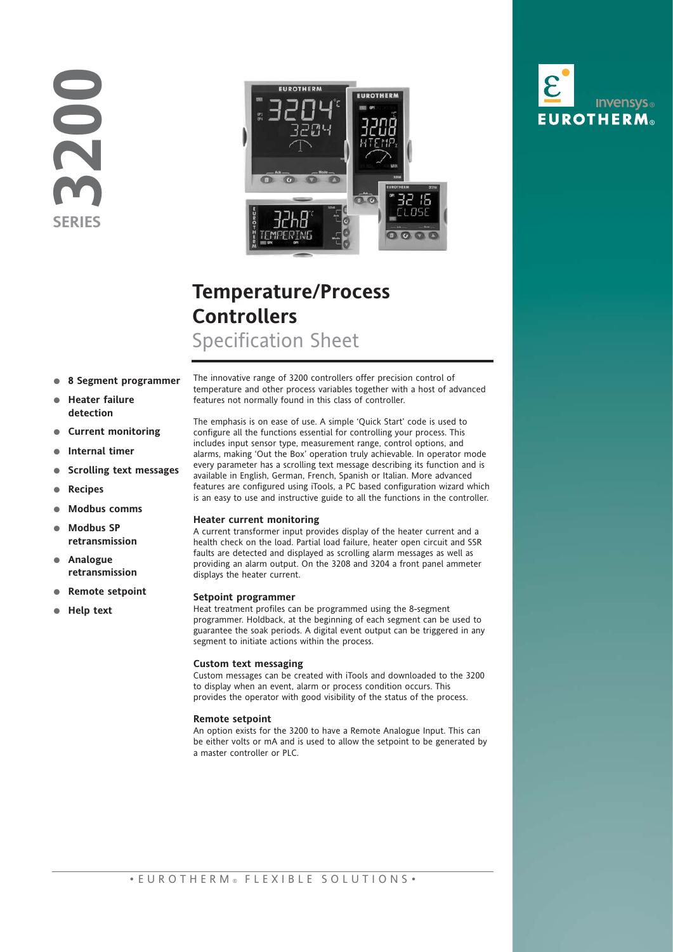**3200 SERIES**



## **Temperature/Process Controllers** Specification Sheet

- **8 Segment programmer**
- **Heater failure detection**
- **Current monitoring**
- **Internal timer**
- **Scrolling text messages**
- **Recipes**
- **Modbus comms**
- **Modbus SP retransmission**
- **Analogue retransmission**
- **Remote setpoint**
- **Help text**

The innovative range of 3200 controllers offer precision control of temperature and other process variables together with a host of advanced features not normally found in this class of controller.

The emphasis is on ease of use. A simple 'Quick Start' code is used to configure all the functions essential for controlling your process. This includes input sensor type, measurement range, control options, and alarms, making 'Out the Box' operation truly achievable. In operator mode every parameter has a scrolling text message describing its function and is available in English, German, French, Spanish or Italian. More advanced features are configured using iTools, a PC based configuration wizard which is an easy to use and instructive guide to all the functions in the controller.

#### **Heater current monitoring**

A current transformer input provides display of the heater current and a health check on the load. Partial load failure, heater open circuit and SSR faults are detected and displayed as scrolling alarm messages as well as providing an alarm output. On the 3208 and 3204 a front panel ammeter displays the heater current.

#### **Setpoint programmer**

Heat treatment profiles can be programmed using the 8-segment programmer. Holdback, at the beginning of each segment can be used to guarantee the soak periods. A digital event output can be triggered in any segment to initiate actions within the process.

#### **Custom text messaging**

Custom messages can be created with iTools and downloaded to the 3200 to display when an event, alarm or process condition occurs. This provides the operator with good visibility of the status of the process.

#### **Remote setpoint**

An option exists for the 3200 to have a Remote Analogue Input. This can be either volts or mA and is used to allow the setpoint to be generated by a master controller or PLC.

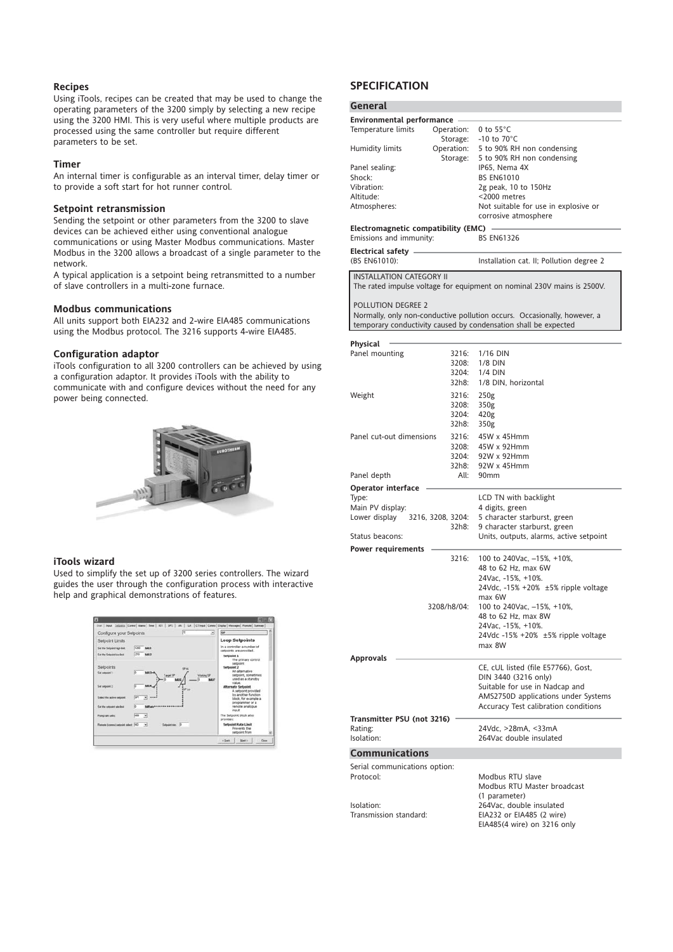#### **Recipes**

Using iTools, recipes can be created that may be used to change the operating parameters of the 3200 simply by selecting a new recipe using the 3200 HMI. This is very useful where multiple products are processed using the same controller but require different parameters to be set.

#### **Timer**

An internal timer is configurable as an interval timer, delay timer or to provide a soft start for hot runner control.

#### **Setpoint retransmission**

Sending the setpoint or other parameters from the 3200 to slave devices can be achieved either using conventional analogue communications or using Master Modbus communications. Master Modbus in the 3200 allows a broadcast of a single parameter to the network.

A typical application is a setpoint being retransmitted to a number of slave controllers in a multi-zone furnace.

#### **Modbus communications**

All units support both EIA232 and 2-wire EIA485 communications using the Modbus protocol. The 3216 supports 4-wire EIA485.

#### **Configuration adaptor**

iTools configuration to all 3200 controllers can be achieved by using a configuration adaptor. It provides iTools with the ability to communicate with and configure devices without the need for any power being connected.



#### **iTools wizard**

Used to simplify the set up of 3200 series controllers. The wizard guides the user through the configuration process with interactive help and graphical demonstrations of features.



#### **SPECIFICATION**

|  | General |  |  |
|--|---------|--|--|
|--|---------|--|--|

| General                                    |                |                                                                          |
|--------------------------------------------|----------------|--------------------------------------------------------------------------|
| Environmental performance -                |                |                                                                          |
| Temperature limits                         | Operation:     | 0 to $55^{\circ}$ C                                                      |
| Humidity limits                            | Storage:       | -10 to $70^{\circ}$ C<br>Operation: 5 to 90% RH non condensing           |
|                                            | Storage:       | 5 to 90% RH non condensing                                               |
| Panel sealing:                             |                | IP65, Nema 4X                                                            |
| Shock:                                     |                | <b>BS EN61010</b>                                                        |
| Vibration:                                 |                | 2g peak, 10 to 150Hz                                                     |
| Altitude:<br>Atmospheres:                  |                | <2000 metres<br>Not suitable for use in explosive or                     |
|                                            |                | corrosive atmosphere                                                     |
| Electromagnetic compatibility (EMC)        |                |                                                                          |
| Emissions and immunity:                    |                | <b>BS EN61326</b>                                                        |
| Electrical safety -                        |                |                                                                          |
| (BS EN61010):                              |                | Installation cat. II; Pollution degree 2                                 |
| <b>INSTALLATION CATEGORY II</b>            |                |                                                                          |
|                                            |                | The rated impulse voltage for equipment on nominal 230V mains is 2500V.  |
|                                            |                |                                                                          |
| POLLUTION DEGREE 2                         |                | Normally, only non-conductive pollution occurs. Occasionally, however, a |
|                                            |                | temporary conductivity caused by condensation shall be expected          |
|                                            |                |                                                                          |
| Physical<br>Panel mounting                 | 3216:          | 1/16 DIN                                                                 |
|                                            | 3208:          | 1/8 DIN                                                                  |
|                                            | 3204:          | 1/4 DIN                                                                  |
|                                            | 32h8:          | 1/8 DIN, horizontal                                                      |
| Weight                                     | 3216:          | 250g                                                                     |
|                                            | 3208:          | 350g                                                                     |
|                                            | 3204:<br>32h8: | 420 <sub>g</sub><br>350g                                                 |
| Panel cut-out dimensions                   | 3216:          | 45W x 45Hmm                                                              |
|                                            | 3208:          | 45W x 92Hmm                                                              |
|                                            | 3204:          | 92W x 92Hmm                                                              |
|                                            | 32h8:          | 92W x 45Hmm                                                              |
| Panel depth                                | All:           | 90 <sub>mm</sub>                                                         |
| <b>Operator interface</b>                  |                | LCD TN with backlight                                                    |
| Type:<br>Main PV display:                  |                | 4 digits, green                                                          |
| Lower display 3216, 3208, 3204:            |                | 5 character starburst, green                                             |
|                                            | 32h8:          | 9 character starburst, green                                             |
| Status beacons:                            |                | Units, outputs, alarms, active setpoint                                  |
| Power requirements                         | 3216:          | 100 to 240Vac, -15%, +10%,                                               |
|                                            |                | 48 to 62 Hz, max 6W                                                      |
|                                            |                | 24Vac, -15%, +10%.                                                       |
|                                            |                | 24Vdc, $-15\% + 20\% + 5\%$ ripple voltage                               |
|                                            |                | max 6W                                                                   |
| 3208/h8/04:                                |                | 100 to 240Vac, -15%, +10%,<br>48 to 62 Hz, max 8W                        |
|                                            |                | 24Vac, -15%, +10%.                                                       |
|                                            |                | 24Vdc -15% +20% ±5% ripple voltage                                       |
|                                            |                | max 8W                                                                   |
| Approvals                                  |                | CE, cUL listed (file E57766), Gost,                                      |
|                                            |                | DIN 3440 (3216 only)                                                     |
|                                            |                | Suitable for use in Nadcap and                                           |
|                                            |                | AMS2750D applications under Systems                                      |
|                                            |                | Accuracy Test calibration conditions                                     |
| Transmitter PSU (not 3216)<br>Rating:      |                | 24Vdc, >28mA, <33mA                                                      |
| Isolation:                                 |                | 264Vac double insulated                                                  |
| <b>Communications</b>                      |                |                                                                          |
|                                            |                |                                                                          |
| Serial communications option:<br>Protocol: |                | Modbus RTU slave                                                         |
|                                            |                | Modbus RTU Master broadcast                                              |
|                                            |                | (1 parameter)                                                            |
| Isolation:<br>Transmission standard:       |                | 264Vac, double insulated                                                 |
|                                            |                | EIA232 or EIA485 (2 wire)<br>EIA485(4 wire) on 3216 only                 |
|                                            |                |                                                                          |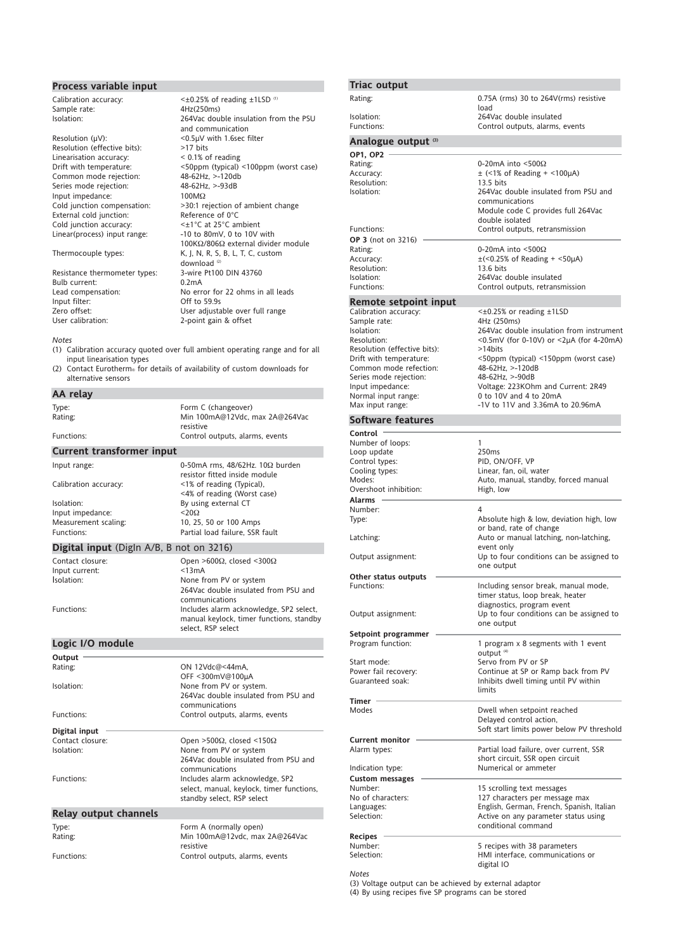# **Process variable input** Calibration accuracy:

Sample rate:<br>Isolation:

Resolution (μV): <0.5μV with 1.6sec filter Resolution (effective bits): >17 bits Linearisation accuracy:<br>Drift with temperature: Common mode rejection: Series mode rejection: 48-62Hz, >-93dB Input impedance:<br>Cold junction compensation: External cold junction:<br>
Cold junction accuracy:<br>  $\langle \pm 1^{\circ}C \rangle$  at 25°C ambient Cold junction accuracy:<br>Linear(process) input range:

Resistance thermometer types: 3-wire<br>Bulb current: 0.2mA Bulb current:<br>Lead compensation: Input filter:<br>
Zero offset:<br>
Zero offset:<br>
Compared the User adjusta

 $\leq$  ±0.25% of reading  $\pm$ 1LSD (1)<br>4Hz(250ms) 264Vac double insulation from the PSU and communication Solom Commercial Commercial Commercial Commercial Commercial Commercial Association<br>1986-1998 - Allen Commercial Commercial Association<br>1986-1998 - Allen Commercial Commercial Commercial Commercial Commercial Commercial Co >30:1 rejection of ambient change<br>Reference of  $0^{\circ}C$ -10 to 80mV, 0 to 10V with 100KΩ/806Ω external divider module Thermocouple types: K, J, N, R, S, B, L, T, C, custom download  $\omega$ <br>3-wire Pt100 DIN 43760 Lead compensation: No error for 22 ohms in all leads<br>
Input filter: Off to 59.9s Zero offset:<br>
User adibration:<br>
User calibration: 2-point gain & offset 2-point gain & offset

#### *Notes*

- (1) Calibration accuracy quoted over full ambient operating range and for all input linearisation types
- (2) Contact Eurotherm® for details of availability of custom downloads for alternative sensors

#### **AA relay**

| Type:<br>Rating:<br>Functions:                                       | Form C (changeover)<br>Min 100mA@12Vdc, max 2A@264Vac<br>resistive<br>Control outputs, alarms, events                                                                                                                                                |  |
|----------------------------------------------------------------------|------------------------------------------------------------------------------------------------------------------------------------------------------------------------------------------------------------------------------------------------------|--|
| <b>Current transformer input</b>                                     |                                                                                                                                                                                                                                                      |  |
| Input range:<br>Calibration accuracy:                                | 0-50mA rms. $48/62$ Hz. $10\Omega$ burden<br>resistor fitted inside module<br><1% of reading (Typical),                                                                                                                                              |  |
| Isolation:<br>Input impedance:<br>Measurement scaling:<br>Functions: | <4% of reading (Worst case)<br>By using external CT<br>$<$ 20 $\Omega$<br>10, 25, 50 or 100 Amps<br>Partial load failure. SSR fault                                                                                                                  |  |
| <b>Digital input</b> (Digln A/B, B not on 3216)                      |                                                                                                                                                                                                                                                      |  |
| Contact closure:<br>Input current:<br>Isolation:<br>Functions:       | Open >600 $\Omega$ , closed <300 $\Omega$<br>< 13mA<br>None from PV or system<br>264Vac double insulated from PSU and<br>communications<br>Includes alarm acknowledge, SP2 select,<br>manual keylock, timer functions, standby<br>select. RSP select |  |
| Logic I/O module                                                     |                                                                                                                                                                                                                                                      |  |
| Output                                                               |                                                                                                                                                                                                                                                      |  |
| Rating:                                                              | ON 12Vdc@<44mA.<br>OFF <300mV@100µA                                                                                                                                                                                                                  |  |

| Isolation:<br>Functions:     | None from PV or system.<br>264Vac double insulated from PSU and<br>communications<br>Control outputs, alarms, events |
|------------------------------|----------------------------------------------------------------------------------------------------------------------|
| Digital input                |                                                                                                                      |
| Contact closure:             | Open >500 $\Omega$ , closed <150 $\Omega$                                                                            |
| Isolation:                   | None from PV or system                                                                                               |
|                              | 264Vac double insulated from PSU and<br>communications                                                               |
| Functions:                   | Includes alarm acknowledge, SP2<br>select, manual, keylock, timer functions,<br>standby select, RSP select           |
| <b>Relay output channels</b> |                                                                                                                      |
| Type:<br>Rating:             | Form A (normally open)<br>Min 100mA@12vdc, max 2A@264Vac<br>resistive                                                |

Functions: Control outputs, alarms, events

| <b>Triac output</b>                         |                                                                              |
|---------------------------------------------|------------------------------------------------------------------------------|
| Rating:                                     | $0.75A$ (rms) 30 to 264V(rms) resistive<br>load                              |
| Isolation:<br>Functions:                    | 264Vac double insulated<br>Control outputs, alarms, events                   |
| Analogue output (3)                         |                                                                              |
| <b>OP1, OP2</b>                             |                                                                              |
| Rating:                                     | 0-20mA into $\leq$ 500 $\Omega$                                              |
| Accuracy:                                   | $\pm$ (<1% of Reading + <100 $\mu$ A)                                        |
| Resolution:                                 | $13.5$ bits                                                                  |
| Isolation:                                  | 264Vac double insulated from PSU and                                         |
|                                             | communications<br>Module code C provides full 264Vac                         |
|                                             | double isolated                                                              |
| Functions:                                  | Control outputs, retransmission                                              |
| OP 3 (not on 3216)                          |                                                                              |
| Rating:                                     | 0-20mA into <500 $\Omega$                                                    |
| Accuracy:                                   | $\pm$ (<0.25% of Reading + <50 $\mu$ A)                                      |
| Resolution:                                 | $13.6$ bits                                                                  |
| Isolation:                                  | 264Vac double insulated                                                      |
| Functions:                                  | Control outputs, retransmission                                              |
| Remote setpoint input                       |                                                                              |
| Calibration accuracy:                       | $\leq \pm 0.25\%$ or reading $\pm 1$ LSD                                     |
| Sample rate:                                | 4Hz (250ms)                                                                  |
| Isolation:                                  | 264Vac double insulation from instrument                                     |
| Resolution:<br>Resolution (effective bits): | <0.5mV (for 0-10V) or <2µA (for 4-20mA)<br>>14bits                           |
| Drift with temperature:                     | <50ppm (typical) <150ppm (worst case)                                        |
| Common mode refection:                      | 48-62Hz, >-120dB                                                             |
| Series mode rejection:                      | 48-62Hz, >-90dB                                                              |
| Input impedance:                            | Voltage: 223KOhm and Current: 2R49                                           |
| Normal input range:                         | 0 to 10V and 4 to 20mA                                                       |
| Max input range:                            | -1V to 11V and 3.36mA to 20.96mA                                             |
| <b>Software features</b>                    |                                                                              |
| Control                                     |                                                                              |
| Number of loops:                            | 1                                                                            |
| Loop update                                 | 250ms                                                                        |
| Control types:<br>Cooling types:            | PID, ON/OFF, VP<br>Linear, fan, oil, water                                   |
| Modes:                                      | Auto, manual, standby, forced manual                                         |
| Overshoot inhibition:                       | High, low                                                                    |
| Alarms                                      |                                                                              |
| Number:                                     | 4                                                                            |
| Type:                                       | Absolute high & low, deviation high, low                                     |
|                                             | or band, rate of change                                                      |
| Latching:                                   | Auto or manual latching, non-latching,<br>event only                         |
| Output assignment:                          | Up to four conditions can be assigned to                                     |
|                                             | one output                                                                   |
| Other status outputs                        |                                                                              |
| Functions:                                  | Including sensor break, manual mode,                                         |
|                                             | timer status, loop break, heater                                             |
|                                             | diagnostics, program event                                                   |
| Output assignment:                          | Up to four conditions can be assigned to<br>one output                       |
| Setpoint programmer                         |                                                                              |
| Program function:                           | 1 program x 8 segments with 1 event                                          |
|                                             | output <sup>(4)</sup>                                                        |
| Start mode:                                 | Servo from PV or SP                                                          |
| Power fail recovery:<br>Guaranteed soak:    | Continue at SP or Ramp back from PV<br>Inhibits dwell timing until PV within |
|                                             | limits                                                                       |
| Timer                                       |                                                                              |
| Modes                                       | Dwell when setpoint reached                                                  |
|                                             | Delayed control action,                                                      |
|                                             | Soft start limits power below PV threshold                                   |
| <b>Current monitor</b>                      |                                                                              |
| Alarm types:                                | Partial load failure, over current, SSR<br>short circuit, SSR open circuit   |
| Indication type:                            | Numerical or ammeter                                                         |
| <b>Custom messages</b>                      |                                                                              |
| Number:                                     | 15 scrolling text messages                                                   |
| No of characters:                           | 127 characters per message max                                               |
| Languages:                                  | English, German, French, Spanish, Italian                                    |
| Selection:                                  | Active on any parameter status using                                         |
|                                             | conditional command                                                          |
| Recipes                                     |                                                                              |
| Number:<br>Selection:                       | 5 recipes with 38 parameters<br>HMI interface, communications or             |
|                                             | digital IO                                                                   |

*Notes*

(3) Voltage output can be achieved by external adaptor (4) By using recipes five SP programs can be stored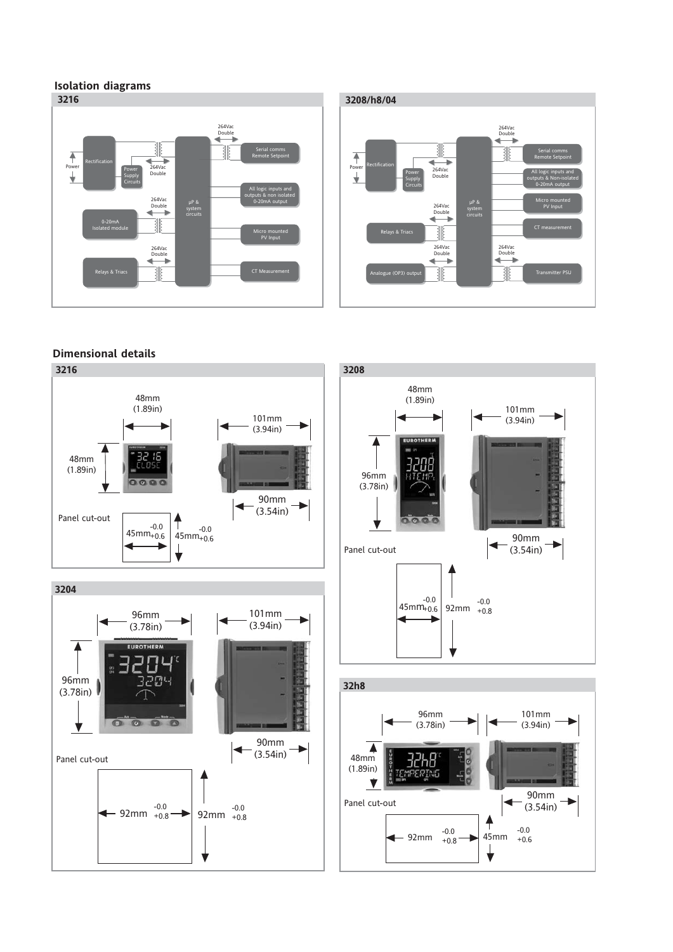## **Isolation diagrams**





## **Dimensional details**

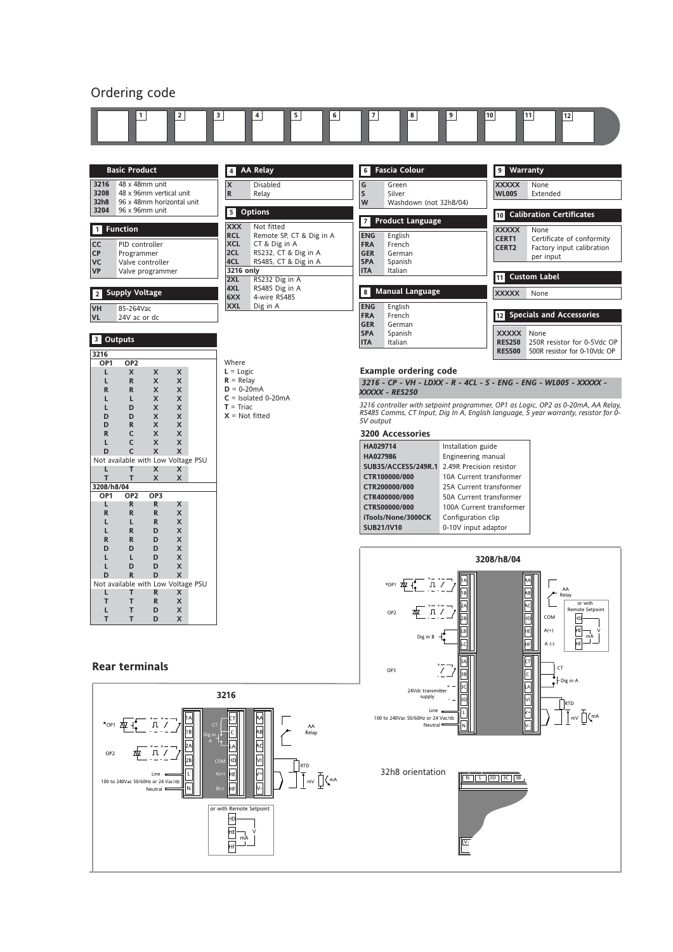### Ordering code